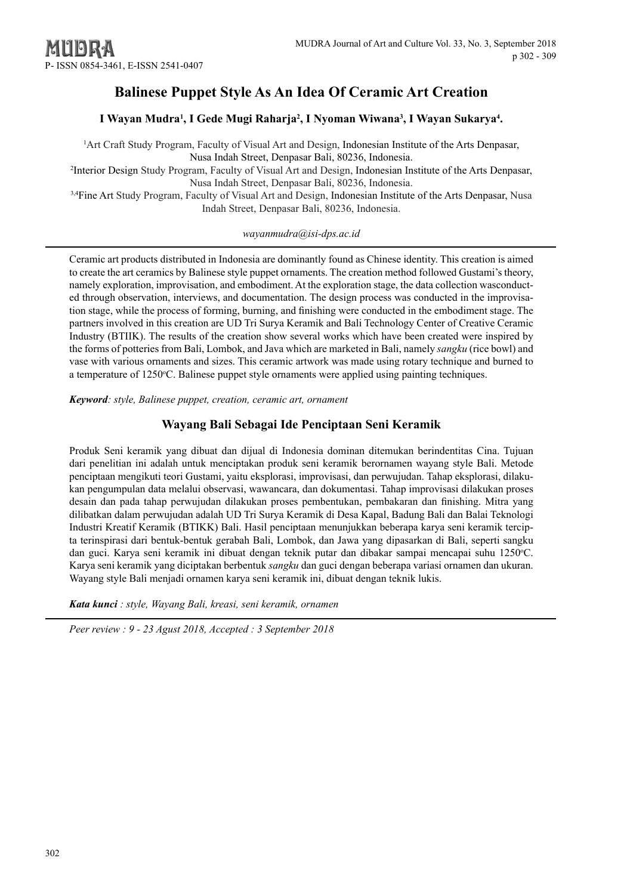# **Balinese Puppet Style As An Idea Of Ceramic Art Creation**

# I Wayan Mudra<sup>1</sup>, I Gede Mugi Raharja<sup>2</sup>, I Nyoman Wiwana<sup>3</sup>, I Wayan Sukarya<sup>4</sup>.

1 Art Craft Study Program, Faculty of Visual Art and Design, Indonesian Institute of the Arts Denpasar, Nusa Indah Street, Denpasar Bali, 80236, Indonesia.

2 Interior Design Study Program, Faculty of Visual Art and Design, Indonesian Institute of the Arts Denpasar, Nusa Indah Street, Denpasar Bali, 80236, Indonesia.

3,4Fine Art Study Program, Faculty of Visual Art and Design, Indonesian Institute of the Arts Denpasar, Nusa Indah Street, Denpasar Bali, 80236, Indonesia.

# *[wayanmudra@isi-dps.ac.id](mailto:wayanmudra@isi-dps.ac.id)*

Ceramic art products distributed in Indonesia are dominantly found as Chinese identity. This creation is aimed to create the art ceramics by Balinese style puppet ornaments. The creation method followed Gustami's theory, namely exploration, improvisation, and embodiment. At the exploration stage, the data collection wasconducted through observation, interviews, and documentation. The design process was conducted in the improvisation stage, while the process of forming, burning, and finishing were conducted in the embodiment stage. The partners involved in this creation are UD Tri Surya Keramik and Bali Technology Center of Creative Ceramic Industry (BTIIK). The results of the creation show several works which have been created were inspired by the forms of potteries from Bali, Lombok, and Java which are marketed in Bali, namely *sangku* (rice bowl) and vase with various ornaments and sizes. This ceramic artwork was made using rotary technique and burned to a temperature of 1250°C. Balinese puppet style ornaments were applied using painting techniques.

*Keyword: style, Balinese puppet, creation, ceramic art, ornament*

# **Wayang Bali Sebagai Ide Penciptaan Seni Keramik**

Produk Seni keramik yang dibuat dan dijual di Indonesia dominan ditemukan berindentitas Cina. Tujuan dari penelitian ini adalah untuk menciptakan produk seni keramik berornamen wayang style Bali. Metode penciptaan mengikuti teori Gustami, yaitu eksplorasi, improvisasi, dan perwujudan. Tahap eksplorasi, dilakukan pengumpulan data melalui observasi, wawancara, dan dokumentasi. Tahap improvisasi dilakukan proses desain dan pada tahap perwujudan dilakukan proses pembentukan, pembakaran dan finishing. Mitra yang dilibatkan dalam perwujudan adalah UD Tri Surya Keramik di Desa Kapal, Badung Bali dan Balai Teknologi Industri Kreatif Keramik (BTIKK) Bali. Hasil penciptaan menunjukkan beberapa karya seni keramik tercipta terinspirasi dari bentuk-bentuk gerabah Bali, Lombok, dan Jawa yang dipasarkan di Bali, seperti sangku dan guci. Karya seni keramik ini dibuat dengan teknik putar dan dibakar sampai mencapai suhu 1250°C. Karya seni keramik yang diciptakan berbentuk *sangku* dan guci dengan beberapa variasi ornamen dan ukuran. Wayang style Bali menjadi ornamen karya seni keramik ini, dibuat dengan teknik lukis.

*Kata kunci : style, Wayang Bali, kreasi, seni keramik, ornamen*

*Peer review : 9 - 23 Agust 2018, Accepted : 3 September 2018*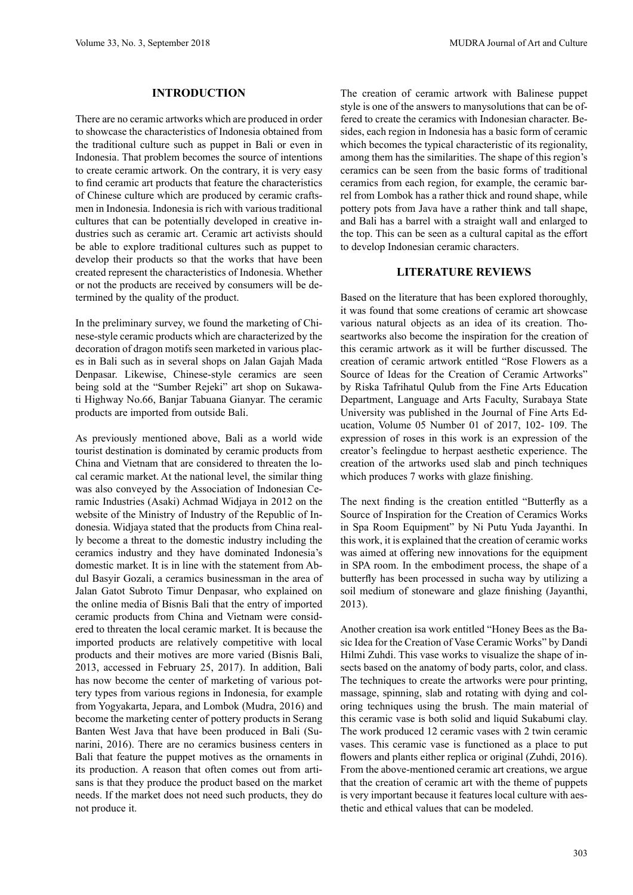#### **INTRODUCTION**

There are no ceramic artworks which are produced in order to showcase the characteristics of Indonesia obtained from the traditional culture such as puppet in Bali or even in Indonesia. That problem becomes the source of intentions to create ceramic artwork. On the contrary, it is very easy to find ceramic art products that feature the characteristics of Chinese culture which are produced by ceramic craftsmen in Indonesia. Indonesia is rich with various traditional cultures that can be potentially developed in creative industries such as ceramic art. Ceramic art activists should be able to explore traditional cultures such as puppet to develop their products so that the works that have been created represent the characteristics of Indonesia. Whether or not the products are received by consumers will be determined by the quality of the product.

In the preliminary survey, we found the marketing of Chinese-style ceramic products which are characterized by the decoration of dragon motifs seen marketed in various places in Bali such as in several shops on Jalan Gajah Mada Denpasar. Likewise, Chinese-style ceramics are seen being sold at the "Sumber Rejeki" art shop on Sukawati Highway No.66, Banjar Tabuana Gianyar. The ceramic products are imported from outside Bali.

As previously mentioned above, Bali as a world wide tourist destination is dominated by ceramic products from China and Vietnam that are considered to threaten the local ceramic market. At the national level, the similar thing was also conveyed by the Association of Indonesian Ceramic Industries (Asaki) Achmad Widjaya in 2012 on the website of the Ministry of Industry of the Republic of Indonesia. Widjaya stated that the products from China really become a threat to the domestic industry including the ceramics industry and they have dominated Indonesia's domestic market. It is in line with the statement from Abdul Basyir Gozali, a ceramics businessman in the area of Jalan Gatot Subroto Timur Denpasar, who explained on the online media of Bisnis Bali that the entry of imported ceramic products from China and Vietnam were considered to threaten the local ceramic market. It is because the imported products are relatively competitive with local products and their motives are more varied (Bisnis Bali, 2013, accessed in February 25, 2017). In addition, Bali has now become the center of marketing of various pottery types from various regions in Indonesia, for example from Yogyakarta, Jepara, and Lombok (Mudra, 2016) and become the marketing center of pottery products in Serang Banten West Java that have been produced in Bali (Sunarini, 2016). There are no ceramics business centers in Bali that feature the puppet motives as the ornaments in its production. A reason that often comes out from artisans is that they produce the product based on the market needs. If the market does not need such products, they do not produce it.

The creation of ceramic artwork with Balinese puppet style is one of the answers to manysolutions that can be offered to create the ceramics with Indonesian character. Besides, each region in Indonesia has a basic form of ceramic which becomes the typical characteristic of its regionality, among them has the similarities. The shape of this region's ceramics can be seen from the basic forms of traditional ceramics from each region, for example, the ceramic barrel from Lombok has a rather thick and round shape, while pottery pots from Java have a rather think and tall shape, and Bali has a barrel with a straight wall and enlarged to the top. This can be seen as a cultural capital as the effort to develop Indonesian ceramic characters.

#### **LITERATURE REVIEWS**

Based on the literature that has been explored thoroughly, it was found that some creations of ceramic art showcase various natural objects as an idea of its creation. Thoseartworks also become the inspiration for the creation of this ceramic artwork as it will be further discussed. The creation of ceramic artwork entitled "Rose Flowers as a Source of Ideas for the Creation of Ceramic Artworks" by Riska Tafrihatul Qulub from the Fine Arts Education Department, Language and Arts Faculty, Surabaya State University was published in the Journal of Fine Arts Education, Volume 05 Number 01 of 2017, 102- 109. The expression of roses in this work is an expression of the creator's feelingdue to herpast aesthetic experience. The creation of the artworks used slab and pinch techniques which produces 7 works with glaze finishing.

The next finding is the creation entitled "Butterfly as a Source of Inspiration for the Creation of Ceramics Works in Spa Room Equipment" by Ni Putu Yuda Jayanthi. In this work, it is explained that the creation of ceramic works was aimed at offering new innovations for the equipment in SPA room. In the embodiment process, the shape of a butterfly has been processed in sucha way by utilizing a soil medium of stoneware and glaze finishing (Jayanthi, 2013).

Another creation isa work entitled "Honey Bees as the Basic Idea for the Creation of Vase Ceramic Works" by Dandi Hilmi Zuhdi. This vase works to visualize the shape of insects based on the anatomy of body parts, color, and class. The techniques to create the artworks were pour printing, massage, spinning, slab and rotating with dying and coloring techniques using the brush. The main material of this ceramic vase is both solid and liquid Sukabumi clay. The work produced 12 ceramic vases with 2 twin ceramic vases. This ceramic vase is functioned as a place to put flowers and plants either replica or original (Zuhdi, 2016). From the above-mentioned ceramic art creations, we argue that the creation of ceramic art with the theme of puppets is very important because it features local culture with aesthetic and ethical values that can be modeled.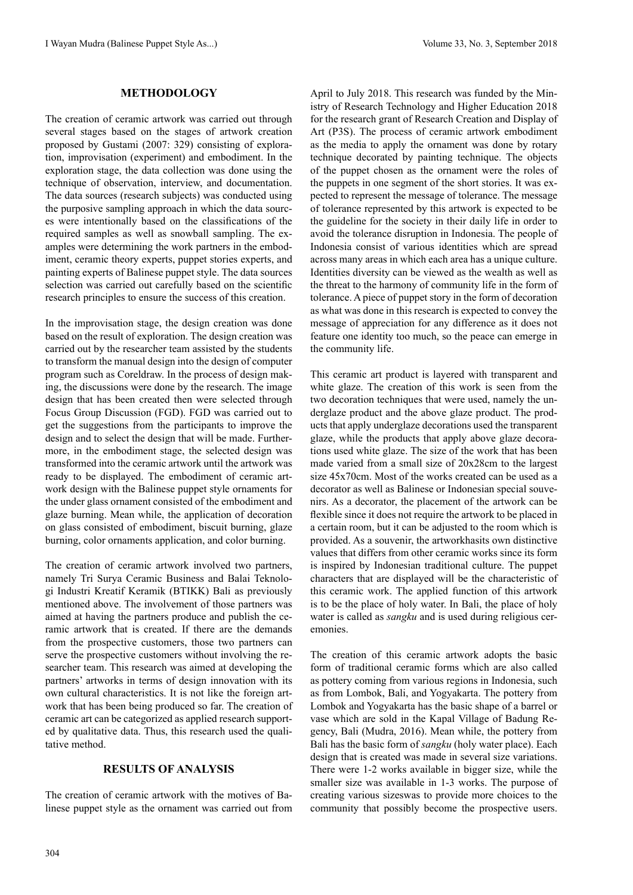## **METHODOLOGY**

The creation of ceramic artwork was carried out through several stages based on the stages of artwork creation proposed by Gustami (2007: 329) consisting of exploration, improvisation (experiment) and embodiment. In the exploration stage, the data collection was done using the technique of observation, interview, and documentation. The data sources (research subjects) was conducted using the purposive sampling approach in which the data sources were intentionally based on the classifications of the required samples as well as snowball sampling. The examples were determining the work partners in the embodiment, ceramic theory experts, puppet stories experts, and painting experts of Balinese puppet style. The data sources selection was carried out carefully based on the scientific research principles to ensure the success of this creation.

In the improvisation stage, the design creation was done based on the result of exploration. The design creation was carried out by the researcher team assisted by the students to transform the manual design into the design of computer program such as Coreldraw. In the process of design making, the discussions were done by the research. The image design that has been created then were selected through Focus Group Discussion (FGD). FGD was carried out to get the suggestions from the participants to improve the design and to select the design that will be made. Furthermore, in the embodiment stage, the selected design was transformed into the ceramic artwork until the artwork was ready to be displayed. The embodiment of ceramic artwork design with the Balinese puppet style ornaments for the under glass ornament consisted of the embodiment and glaze burning. Mean while, the application of decoration on glass consisted of embodiment, biscuit burning, glaze burning, color ornaments application, and color burning.

The creation of ceramic artwork involved two partners, namely Tri Surya Ceramic Business and Balai Teknologi Industri Kreatif Keramik (BTIKK) Bali as previously mentioned above. The involvement of those partners was aimed at having the partners produce and publish the ceramic artwork that is created. If there are the demands from the prospective customers, those two partners can serve the prospective customers without involving the researcher team. This research was aimed at developing the partners' artworks in terms of design innovation with its own cultural characteristics. It is not like the foreign artwork that has been being produced so far. The creation of ceramic art can be categorized as applied research supported by qualitative data. Thus, this research used the qualitative method.

### **RESULTS OF ANALYSIS**

The creation of ceramic artwork with the motives of Balinese puppet style as the ornament was carried out from April to July 2018. This research was funded by the Ministry of Research Technology and Higher Education 2018 for the research grant of Research Creation and Display of Art (P3S). The process of ceramic artwork embodiment as the media to apply the ornament was done by rotary technique decorated by painting technique. The objects of the puppet chosen as the ornament were the roles of the puppets in one segment of the short stories. It was expected to represent the message of tolerance. The message of tolerance represented by this artwork is expected to be the guideline for the society in their daily life in order to avoid the tolerance disruption in Indonesia. The people of Indonesia consist of various identities which are spread across many areas in which each area has a unique culture. Identities diversity can be viewed as the wealth as well as the threat to the harmony of community life in the form of tolerance. A piece of puppet story in the form of decoration as what was done in this research is expected to convey the message of appreciation for any difference as it does not feature one identity too much, so the peace can emerge in the community life.

This ceramic art product is layered with transparent and white glaze. The creation of this work is seen from the two decoration techniques that were used, namely the underglaze product and the above glaze product. The products that apply underglaze decorations used the transparent glaze, while the products that apply above glaze decorations used white glaze. The size of the work that has been made varied from a small size of 20x28cm to the largest size 45x70cm. Most of the works created can be used as a decorator as well as Balinese or Indonesian special souvenirs. As a decorator, the placement of the artwork can be flexible since it does not require the artwork to be placed in a certain room, but it can be adjusted to the room which is provided. As a souvenir, the artworkhasits own distinctive values that differs from other ceramic works since its form is inspired by Indonesian traditional culture. The puppet characters that are displayed will be the characteristic of this ceramic work. The applied function of this artwork is to be the place of holy water. In Bali, the place of holy water is called as *sangku* and is used during religious ceremonies.

The creation of this ceramic artwork adopts the basic form of traditional ceramic forms which are also called as pottery coming from various regions in Indonesia, such as from Lombok, Bali, and Yogyakarta. The pottery from Lombok and Yogyakarta has the basic shape of a barrel or vase which are sold in the Kapal Village of Badung Regency, Bali (Mudra, 2016). Mean while, the pottery from Bali has the basic form of *sangku* (holy water place). Each design that is created was made in several size variations. There were 1-2 works available in bigger size, while the smaller size was available in 1-3 works. The purpose of creating various sizeswas to provide more choices to the community that possibly become the prospective users.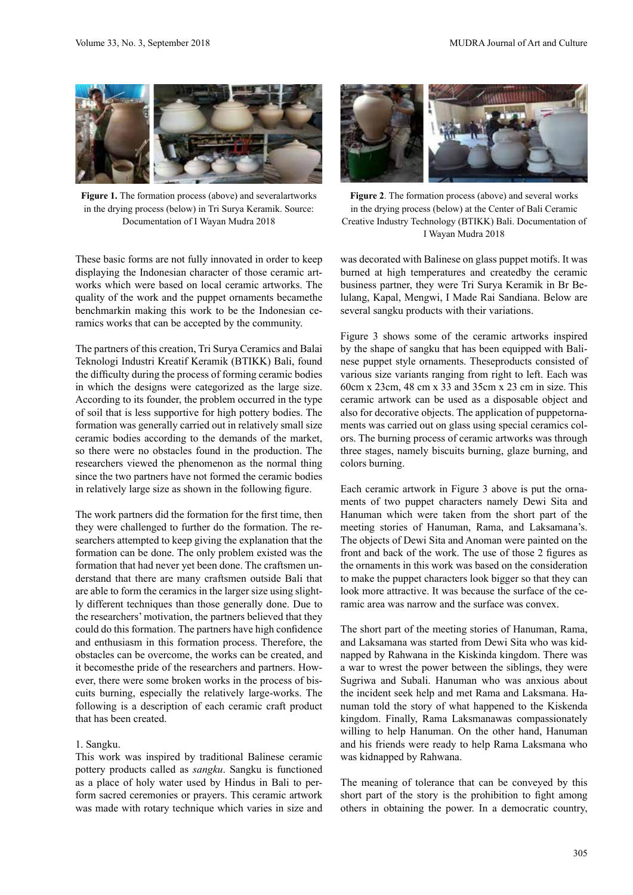

Figure 1. The formation process (above) and severalartworks in the drying process (below) in Tri Surya Keramik. Source: Documentation of I Wayan Mudra 2018

These basic forms are not fully innovated in order to keep displaying the Indonesian character of those ceramic artworks which were based on local ceramic artworks. The quality of the work and the puppet ornaments becamethe benchmarkin making this work to be the Indonesian ceramics works that can be accepted by the community.

The partners of this creation, Tri Surya Ceramics and Balai Teknologi Industri Kreatif Keramik (BTIKK) Bali, found the difficulty during the process of forming ceramic bodies in which the designs were categorized as the large size. According to its founder, the problem occurred in the type of soil that is less supportive for high pottery bodies. The formation was generally carried out in relatively small size ceramic bodies according to the demands of the market, so there were no obstacles found in the production. The researchers viewed the phenomenon as the normal thing since the two partners have not formed the ceramic bodies in relatively large size as shown in the following figure.

The work partners did the formation for the first time, then they were challenged to further do the formation. The researchers attempted to keep giving the explanation that the formation can be done. The only problem existed was the formation that had never yet been done. The craftsmen understand that there are many craftsmen outside Bali that are able to form the ceramics in the larger size using slightly different techniques than those generally done. Due to the researchers' motivation, the partners believed that they could do this formation. The partners have high confidence and enthusiasm in this formation process. Therefore, the obstacles can be overcome, the works can be created, and it becomesthe pride of the researchers and partners. However, there were some broken works in the process of biscuits burning, especially the relatively large-works. The following is a description of each ceramic craft product that has been created.

#### 1. Sangku.

This work was inspired by traditional Balinese ceramic pottery products called as *sangku*. Sangku is functioned as a place of holy water used by Hindus in Bali to perform sacred ceremonies or prayers. This ceramic artwork was made with rotary technique which varies in size and



**Figure 2**. The formation process (above) and several works in the drying process (below) at the Center of Bali Ceramic Creative Industry Technology (BTIKK) Bali. Documentation of I Wayan Mudra 2018

was decorated with Balinese on glass puppet motifs. It was burned at high temperatures and createdby the ceramic business partner, they were Tri Surya Keramik in Br Belulang, Kapal, Mengwi, I Made Rai Sandiana. Below are several sangku products with their variations.

Figure 3 shows some of the ceramic artworks inspired by the shape of sangku that has been equipped with Balinese puppet style ornaments. Theseproducts consisted of various size variants ranging from right to left. Each was 60cm x 23cm, 48 cm x 33 and 35cm x 23 cm in size. This ceramic artwork can be used as a disposable object and also for decorative objects. The application of puppetornaments was carried out on glass using special ceramics colors. The burning process of ceramic artworks was through three stages, namely biscuits burning, glaze burning, and colors burning.

Each ceramic artwork in Figure 3 above is put the ornaments of two puppet characters namely Dewi Sita and Hanuman which were taken from the short part of the meeting stories of Hanuman, Rama, and Laksamana's. The objects of Dewi Sita and Anoman were painted on the front and back of the work. The use of those 2 figures as the ornaments in this work was based on the consideration to make the puppet characters look bigger so that they can look more attractive. It was because the surface of the ceramic area was narrow and the surface was convex.

The short part of the meeting stories of Hanuman, Rama, and Laksamana was started from Dewi Sita who was kidnapped by Rahwana in the Kiskinda kingdom. There was a war to wrest the power between the siblings, they were Sugriwa and Subali. Hanuman who was anxious about the incident seek help and met Rama and Laksmana. Hanuman told the story of what happened to the Kiskenda kingdom. Finally, Rama Laksmanawas compassionately willing to help Hanuman. On the other hand, Hanuman and his friends were ready to help Rama Laksmana who was kidnapped by Rahwana.

The meaning of tolerance that can be conveyed by this short part of the story is the prohibition to fight among others in obtaining the power. In a democratic country,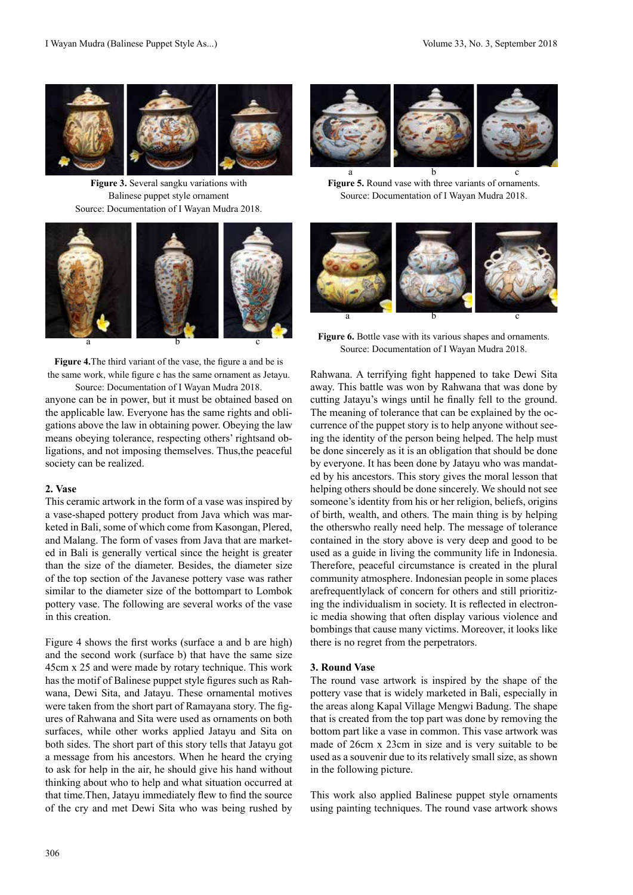

**Figure 3.** Several sangku variations with Balinese puppet style ornament Source: Documentation of I Wayan Mudra 2018.



**Figure 4.**The third variant of the vase, the figure a and be is the same work, while figure c has the same ornament as Jetayu.

anyone can be in power, but it must be obtained based on the applicable law. Everyone has the same rights and obligations above the law in obtaining power. Obeying the law means obeying tolerance, respecting others' rightsand obligations, and not imposing themselves. Thus,the peaceful society can be realized. Source: Documentation of I Wayan Mudra 2018.

#### **2. Vase**

This ceramic artwork in the form of a vase was inspired by a vase-shaped pottery product from Java which was marketed in Bali, some of which come from Kasongan, Plered, and Malang. The form of vases from Java that are marketed in Bali is generally vertical since the height is greater than the size of the diameter. Besides, the diameter size of the top section of the Javanese pottery vase was rather similar to the diameter size of the bottompart to Lombok pottery vase. The following are several works of the vase in this creation.

Figure 4 shows the first works (surface a and b are high) and the second work (surface b) that have the same size 45cm x 25 and were made by rotary technique. This work has the motif of Balinese puppet style figures such as Rahwana, Dewi Sita, and Jatayu. These ornamental motives were taken from the short part of Ramayana story. The figures of Rahwana and Sita were used as ornaments on both surfaces, while other works applied Jatayu and Sita on both sides. The short part of this story tells that Jatayu got a message from his ancestors. When he heard the crying to ask for help in the air, he should give his hand without thinking about who to help and what situation occurred at that time.Then, Jatayu immediately flew to find the source of the cry and met Dewi Sita who was being rushed by



**Figure 5.** Round vase with three variants of ornaments. Source: Documentation of I Wayan Mudra 2018. a b c



**Figure 6.** Bottle vase with its various shapes and ornaments. Source: Documentation of I Wayan Mudra 2018.

Rahwana. A terrifying fight happened to take Dewi Sita away. This battle was won by Rahwana that was done by cutting Jatayu's wings until he finally fell to the ground. The meaning of tolerance that can be explained by the occurrence of the puppet story is to help anyone without seeing the identity of the person being helped. The help must be done sincerely as it is an obligation that should be done by everyone. It has been done by Jatayu who was mandated by his ancestors. This story gives the moral lesson that helping others should be done sincerely. We should not see someone's identity from his or her religion, beliefs, origins of birth, wealth, and others. The main thing is by helping the otherswho really need help. The message of tolerance contained in the story above is very deep and good to be used as a guide in living the community life in Indonesia. Therefore, peaceful circumstance is created in the plural community atmosphere. Indonesian people in some places arefrequentlylack of concern for others and still prioritizing the individualism in society. It is reflected in electronic media showing that often display various violence and bombings that cause many victims. Moreover, it looks like there is no regret from the perpetrators.

#### **3. Round Vase**

The round vase artwork is inspired by the shape of the pottery vase that is widely marketed in Bali, especially in the areas along Kapal Village Mengwi Badung. The shape that is created from the top part was done by removing the bottom part like a vase in common. This vase artwork was made of 26cm x 23cm in size and is very suitable to be used as a souvenir due to its relatively small size, as shown in the following picture.

This work also applied Balinese puppet style ornaments using painting techniques. The round vase artwork shows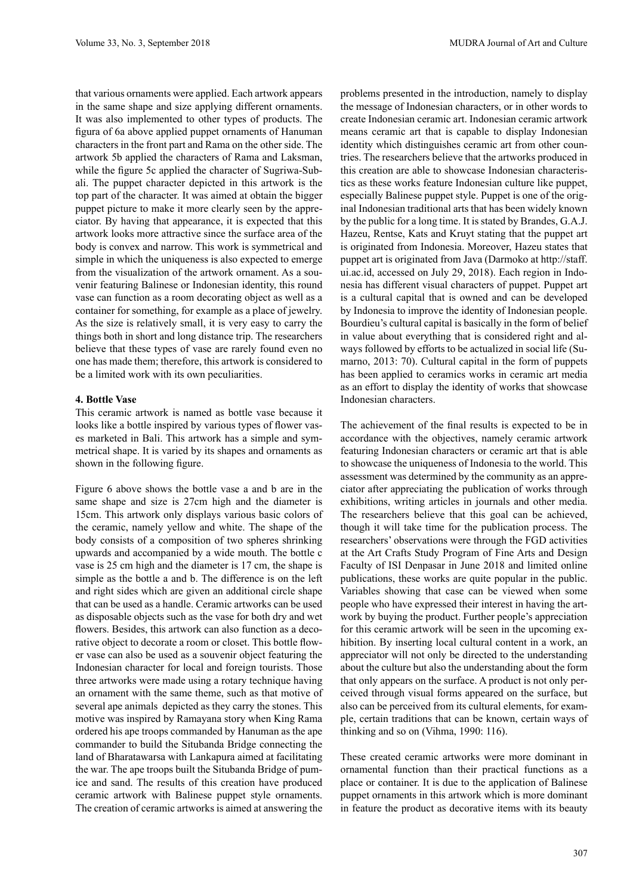that various ornaments were applied. Each artwork appears in the same shape and size applying different ornaments. It was also implemented to other types of products. The figura of 6a above applied puppet ornaments of Hanuman characters in the front part and Rama on the other side. The artwork 5b applied the characters of Rama and Laksman, while the figure 5c applied the character of Sugriwa-Subali. The puppet character depicted in this artwork is the top part of the character. It was aimed at obtain the bigger puppet picture to make it more clearly seen by the appreciator. By having that appearance, it is expected that this artwork looks more attractive since the surface area of the body is convex and narrow. This work is symmetrical and simple in which the uniqueness is also expected to emerge from the visualization of the artwork ornament. As a souvenir featuring Balinese or Indonesian identity, this round vase can function as a room decorating object as well as a container for something, for example as a place of jewelry. As the size is relatively small, it is very easy to carry the things both in short and long distance trip. The researchers believe that these types of vase are rarely found even no one has made them; therefore, this artwork is considered to be a limited work with its own peculiarities.

### **4. Bottle Vase**

This ceramic artwork is named as bottle vase because it looks like a bottle inspired by various types of flower vases marketed in Bali. This artwork has a simple and symmetrical shape. It is varied by its shapes and ornaments as shown in the following figure.

Figure 6 above shows the bottle vase a and b are in the same shape and size is 27cm high and the diameter is 15cm. This artwork only displays various basic colors of the ceramic, namely yellow and white. The shape of the body consists of a composition of two spheres shrinking upwards and accompanied by a wide mouth. The bottle c vase is 25 cm high and the diameter is 17 cm, the shape is simple as the bottle a and b. The difference is on the left and right sides which are given an additional circle shape that can be used as a handle. Ceramic artworks can be used as disposable objects such as the vase for both dry and wet flowers. Besides, this artwork can also function as a decorative object to decorate a room or closet. This bottle flower vase can also be used as a souvenir object featuring the Indonesian character for local and foreign tourists. Those three artworks were made using a rotary technique having an ornament with the same theme, such as that motive of several ape animals depicted as they carry the stones. This motive was inspired by Ramayana story when King Rama ordered his ape troops commanded by Hanuman as the ape commander to build the Situbanda Bridge connecting the land of Bharatawarsa with Lankapura aimed at facilitating the war. The ape troops built the Situbanda Bridge of pumice and sand. The results of this creation have produced ceramic artwork with Balinese puppet style ornaments. The creation of ceramic artworks is aimed at answering the

problems presented in the introduction, namely to display the message of Indonesian characters, or in other words to create Indonesian ceramic art. Indonesian ceramic artwork means ceramic art that is capable to display Indonesian identity which distinguishes ceramic art from other countries. The researchers believe that the artworks produced in this creation are able to showcase Indonesian characteristics as these works feature Indonesian culture like puppet, especially Balinese puppet style. Puppet is one of the original Indonesian traditional arts that has been widely known by the public for a long time. It is stated by Brandes, G.A.J. Hazeu, Rentse, Kats and Kruyt stating that the puppet art is originated from Indonesia. Moreover, Hazeu states that puppet art is originated from Java (Darmoko at http://staff. ui.ac.id, accessed on July 29, 2018). Each region in Indonesia has different visual characters of puppet. Puppet art is a cultural capital that is owned and can be developed by Indonesia to improve the identity of Indonesian people. Bourdieu's cultural capital is basically in the form of belief in value about everything that is considered right and always followed by efforts to be actualized in social life (Sumarno, 2013: 70). Cultural capital in the form of puppets has been applied to ceramics works in ceramic art media as an effort to display the identity of works that showcase Indonesian characters.

The achievement of the final results is expected to be in accordance with the objectives, namely ceramic artwork featuring Indonesian characters or ceramic art that is able to showcase the uniqueness of Indonesia to the world. This assessment was determined by the community as an appreciator after appreciating the publication of works through exhibitions, writing articles in journals and other media. The researchers believe that this goal can be achieved, though it will take time for the publication process. The researchers' observations were through the FGD activities at the Art Crafts Study Program of Fine Arts and Design Faculty of ISI Denpasar in June 2018 and limited online publications, these works are quite popular in the public. Variables showing that case can be viewed when some people who have expressed their interest in having the artwork by buying the product. Further people's appreciation for this ceramic artwork will be seen in the upcoming exhibition. By inserting local cultural content in a work, an appreciator will not only be directed to the understanding about the culture but also the understanding about the form that only appears on the surface. A product is not only perceived through visual forms appeared on the surface, but also can be perceived from its cultural elements, for example, certain traditions that can be known, certain ways of thinking and so on (Vihma, 1990: 116).

These created ceramic artworks were more dominant in ornamental function than their practical functions as a place or container. It is due to the application of Balinese puppet ornaments in this artwork which is more dominant in feature the product as decorative items with its beauty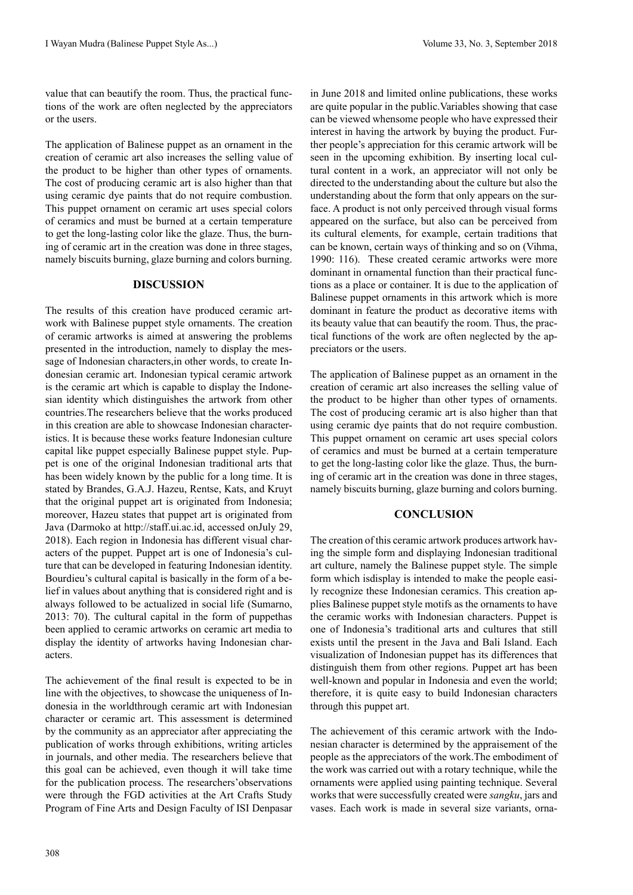value that can beautify the room. Thus, the practical functions of the work are often neglected by the appreciators or the users.

The application of Balinese puppet as an ornament in the creation of ceramic art also increases the selling value of the product to be higher than other types of ornaments. The cost of producing ceramic art is also higher than that using ceramic dye paints that do not require combustion. This puppet ornament on ceramic art uses special colors of ceramics and must be burned at a certain temperature to get the long-lasting color like the glaze. Thus, the burning of ceramic art in the creation was done in three stages, namely biscuits burning, glaze burning and colors burning.

# **DISCUSSION**

The results of this creation have produced ceramic artwork with Balinese puppet style ornaments. The creation of ceramic artworks is aimed at answering the problems presented in the introduction, namely to display the message of Indonesian characters,in other words, to create Indonesian ceramic art. Indonesian typical ceramic artwork is the ceramic art which is capable to display the Indonesian identity which distinguishes the artwork from other countries.The researchers believe that the works produced in this creation are able to showcase Indonesian characteristics. It is because these works feature Indonesian culture capital like puppet especially Balinese puppet style. Puppet is one of the original Indonesian traditional arts that has been widely known by the public for a long time. It is stated by Brandes, G.A.J. Hazeu, Rentse, Kats, and Kruyt that the original puppet art is originated from Indonesia; moreover, Hazeu states that puppet art is originated from Java (Darmoko at http://staff.ui.ac.id, accessed onJuly 29, 2018). Each region in Indonesia has different visual characters of the puppet. Puppet art is one of Indonesia's culture that can be developed in featuring Indonesian identity. Bourdieu's cultural capital is basically in the form of a belief in values about anything that is considered right and is always followed to be actualized in social life (Sumarno, 2013: 70). The cultural capital in the form of puppethas been applied to ceramic artworks on ceramic art media to display the identity of artworks having Indonesian characters.

The achievement of the final result is expected to be in line with the objectives, to showcase the uniqueness of Indonesia in the worldthrough ceramic art with Indonesian character or ceramic art. This assessment is determined by the community as an appreciator after appreciating the publication of works through exhibitions, writing articles in journals, and other media. The researchers believe that this goal can be achieved, even though it will take time for the publication process. The researchers'observations were through the FGD activities at the Art Crafts Study Program of Fine Arts and Design Faculty of ISI Denpasar in June 2018 and limited online publications, these works are quite popular in the public.Variables showing that case can be viewed whensome people who have expressed their interest in having the artwork by buying the product. Further people's appreciation for this ceramic artwork will be seen in the upcoming exhibition. By inserting local cultural content in a work, an appreciator will not only be directed to the understanding about the culture but also the understanding about the form that only appears on the surface. A product is not only perceived through visual forms appeared on the surface, but also can be perceived from its cultural elements, for example, certain traditions that can be known, certain ways of thinking and so on (Vihma, 1990: 116). These created ceramic artworks were more dominant in ornamental function than their practical functions as a place or container. It is due to the application of Balinese puppet ornaments in this artwork which is more dominant in feature the product as decorative items with its beauty value that can beautify the room. Thus, the practical functions of the work are often neglected by the appreciators or the users.

The application of Balinese puppet as an ornament in the creation of ceramic art also increases the selling value of the product to be higher than other types of ornaments. The cost of producing ceramic art is also higher than that using ceramic dye paints that do not require combustion. This puppet ornament on ceramic art uses special colors of ceramics and must be burned at a certain temperature to get the long-lasting color like the glaze. Thus, the burning of ceramic art in the creation was done in three stages, namely biscuits burning, glaze burning and colors burning.

# **CONCLUSION**

The creation of this ceramic artwork produces artwork having the simple form and displaying Indonesian traditional art culture, namely the Balinese puppet style. The simple form which isdisplay is intended to make the people easily recognize these Indonesian ceramics. This creation applies Balinese puppet style motifs as the ornaments to have the ceramic works with Indonesian characters. Puppet is one of Indonesia's traditional arts and cultures that still exists until the present in the Java and Bali Island. Each visualization of Indonesian puppet has its differences that distinguish them from other regions. Puppet art has been well-known and popular in Indonesia and even the world; therefore, it is quite easy to build Indonesian characters through this puppet art.

The achievement of this ceramic artwork with the Indonesian character is determined by the appraisement of the people as the appreciators of the work.The embodiment of the work was carried out with a rotary technique, while the ornaments were applied using painting technique. Several works that were successfully created were *sangku*, jars and vases. Each work is made in several size variants, orna